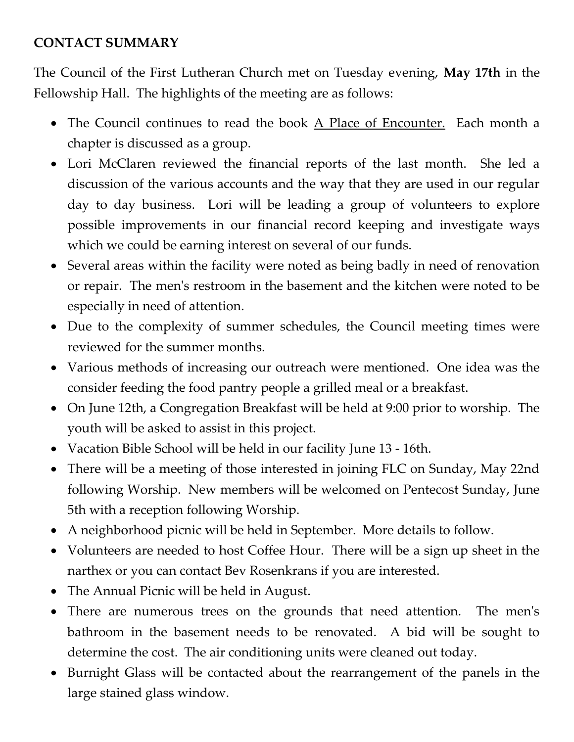## **CONTACT SUMMARY**

The Council of the First Lutheran Church met on Tuesday evening, **May 17th** in the Fellowship Hall. The highlights of the meeting are as follows:

- The Council continues to read the book A Place of Encounter. Each month a chapter is discussed as a group.
- Lori McClaren reviewed the financial reports of the last month. She led a discussion of the various accounts and the way that they are used in our regular day to day business. Lori will be leading a group of volunteers to explore possible improvements in our financial record keeping and investigate ways which we could be earning interest on several of our funds.
- Several areas within the facility were noted as being badly in need of renovation or repair. The men's restroom in the basement and the kitchen were noted to be especially in need of attention.
- Due to the complexity of summer schedules, the Council meeting times were reviewed for the summer months.
- Various methods of increasing our outreach were mentioned. One idea was the consider feeding the food pantry people a grilled meal or a breakfast.
- On June 12th, a Congregation Breakfast will be held at 9:00 prior to worship. The youth will be asked to assist in this project.
- Vacation Bible School will be held in our facility June 13 16th.
- There will be a meeting of those interested in joining FLC on Sunday, May 22nd following Worship. New members will be welcomed on Pentecost Sunday, June 5th with a reception following Worship.
- A neighborhood picnic will be held in September. More details to follow.
- Volunteers are needed to host Coffee Hour. There will be a sign up sheet in the narthex or you can contact Bev Rosenkrans if you are interested.
- The Annual Picnic will be held in August.
- There are numerous trees on the grounds that need attention. The men's bathroom in the basement needs to be renovated. A bid will be sought to determine the cost. The air conditioning units were cleaned out today.
- Burnight Glass will be contacted about the rearrangement of the panels in the large stained glass window.